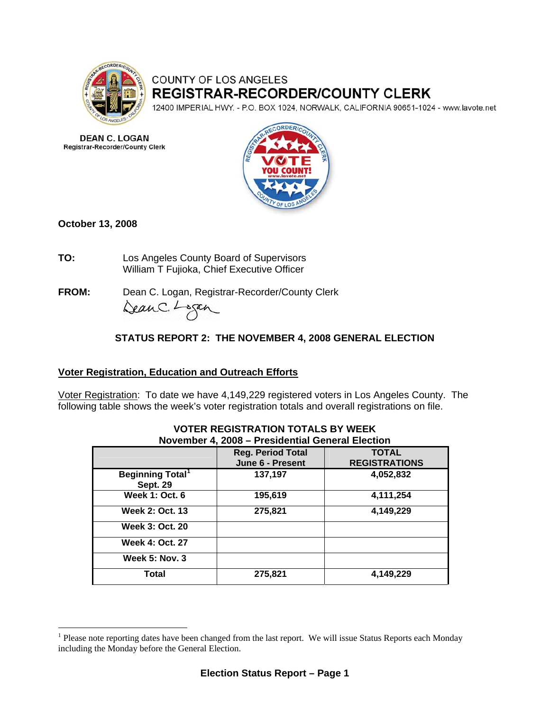

# COUNTY OF LOS ANGELES REGISTRAR-RECORDER/COUNTY CLERK

12400 IMPERIAL HWY. - P.O. BOX 1024, NORWALK, CALIFORNIA 90651-1024 - www.lavote.net

**DEAN C. LOGAN Registrar-Recorder/County Clerk** 



**October 13, 2008** 

 $\overline{a}$ 

**TO:** Los Angeles County Board of Supervisors William T Fujioka, Chief Executive Officer

**FROM:** Dean C. Logan, Registrar-Recorder/County Clerk DeanC. Logan

# **STATUS REPORT 2: THE NOVEMBER 4, 2008 GENERAL ELECTION**

# **Voter Registration, Education and Outreach Efforts**

Voter Registration: To date we have 4,149,229 registered voters in Los Angeles County.The following table shows the week's voter registration totals and overall registrations on file.

| November 4, 2008 - Presidential General Election |                                              |                                      |  |  |
|--------------------------------------------------|----------------------------------------------|--------------------------------------|--|--|
|                                                  | <b>Reg. Period Total</b><br>June 6 - Present | <b>TOTAL</b><br><b>REGISTRATIONS</b> |  |  |
| Beginning Total <sup>1</sup><br><b>Sept. 29</b>  | 137,197                                      | 4,052,832                            |  |  |
| <b>Week 1: Oct. 6</b>                            | 195,619                                      | 4,111,254                            |  |  |
| <b>Week 2: Oct. 13</b>                           | 275,821                                      | 4,149,229                            |  |  |
| <b>Week 3: Oct. 20</b>                           |                                              |                                      |  |  |
| <b>Week 4: Oct. 27</b>                           |                                              |                                      |  |  |
| <b>Week 5: Nov. 3</b>                            |                                              |                                      |  |  |
| Total                                            | 275,821                                      | 4,149,229                            |  |  |

# **VOTER REGISTRATION TOTALS BY WEEK**

<span id="page-0-0"></span><sup>&</sup>lt;sup>1</sup> Please note reporting dates have been changed from the last report. We will issue Status Reports each Monday including the Monday before the General Election.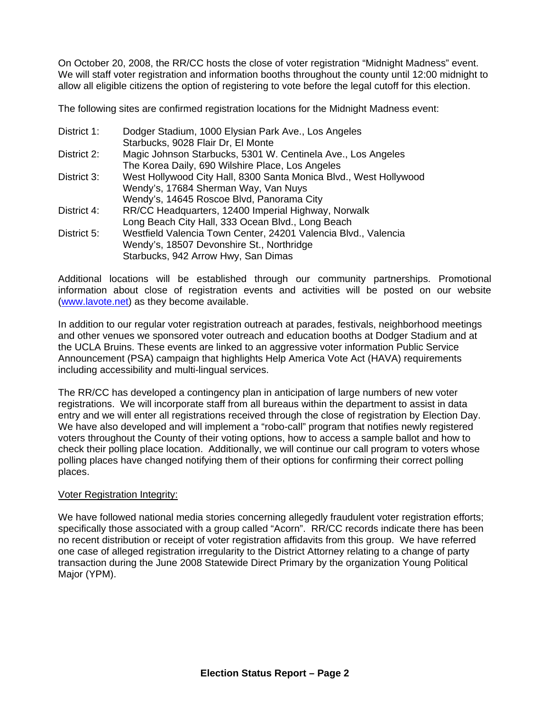On October 20, 2008, the RR/CC hosts the close of voter registration "Midnight Madness" event. We will staff voter registration and information booths throughout the county until 12:00 midnight to allow all eligible citizens the option of registering to vote before the legal cutoff for this election.

The following sites are confirmed registration locations for the Midnight Madness event:

| District 1: | Dodger Stadium, 1000 Elysian Park Ave., Los Angeles               |
|-------------|-------------------------------------------------------------------|
|             | Starbucks, 9028 Flair Dr, El Monte                                |
| District 2: | Magic Johnson Starbucks, 5301 W. Centinela Ave., Los Angeles      |
|             | The Korea Daily, 690 Wilshire Place, Los Angeles                  |
| District 3: | West Hollywood City Hall, 8300 Santa Monica Blvd., West Hollywood |
|             | Wendy's, 17684 Sherman Way, Van Nuys                              |
|             | Wendy's, 14645 Roscoe Blvd, Panorama City                         |
| District 4: | RR/CC Headquarters, 12400 Imperial Highway, Norwalk               |
|             | Long Beach City Hall, 333 Ocean Blvd., Long Beach                 |
| District 5: | Westfield Valencia Town Center, 24201 Valencia Blvd., Valencia    |
|             | Wendy's, 18507 Devonshire St., Northridge                         |
|             | Starbucks, 942 Arrow Hwy, San Dimas                               |

Additional locations will be established through our community partnerships. Promotional information about close of registration events and activities will be posted on our website [\(www.lavote.net](http://www.lavote.net/)) as they become available.

In addition to our regular voter registration outreach at parades, festivals, neighborhood meetings and other venues we sponsored voter outreach and education booths at Dodger Stadium and at the UCLA Bruins. These events are linked to an aggressive voter information Public Service Announcement (PSA) campaign that highlights Help America Vote Act (HAVA) requirements including accessibility and multi-lingual services.

The RR/CC has developed a contingency plan in anticipation of large numbers of new voter registrations. We will incorporate staff from all bureaus within the department to assist in data entry and we will enter all registrations received through the close of registration by Election Day. We have also developed and will implement a "robo-call" program that notifies newly registered voters throughout the County of their voting options, how to access a sample ballot and how to check their polling place location. Additionally, we will continue our call program to voters whose polling places have changed notifying them of their options for confirming their correct polling places.

#### **Voter Registration Integrity:**

We have followed national media stories concerning allegedly fraudulent voter registration efforts; specifically those associated with a group called "Acorn". RR/CC records indicate there has been no recent distribution or receipt of voter registration affidavits from this group. We have referred one case of alleged registration irregularity to the District Attorney relating to a change of party transaction during the June 2008 Statewide Direct Primary by the organization Young Political Major (YPM).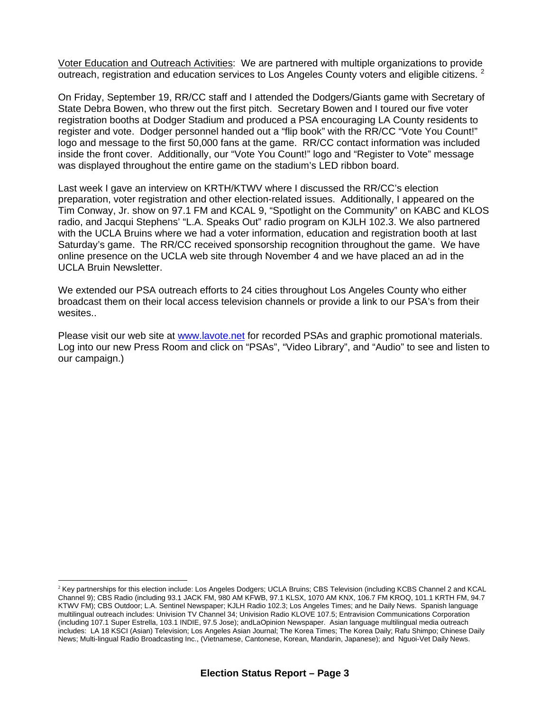Voter Education and Outreach Activities: We are partnered with multiple organizations to provide outreach, registration and education services to Los Angeles County voters and eligible citizens.  $2$ 

On Friday, September 19, RR/CC staff and I attended the Dodgers/Giants game with Secretary of State Debra Bowen, who threw out the first pitch. Secretary Bowen and I toured our five voter registration booths at Dodger Stadium and produced a PSA encouraging LA County residents to register and vote. Dodger personnel handed out a "flip book" with the RR/CC "Vote You Count!" logo and message to the first 50,000 fans at the game. RR/CC contact information was included inside the front cover. Additionally, our "Vote You Count!" logo and "Register to Vote" message was displayed throughout the entire game on the stadium's LED ribbon board.

Last week I gave an interview on KRTH/KTWV where I discussed the RR/CC's election preparation, voter registration and other election-related issues. Additionally, I appeared on the Tim Conway, Jr. show on 97.1 FM and KCAL 9, "Spotlight on the Community" on KABC and KLOS radio, and Jacqui Stephens' "L.A. Speaks Out" radio program on KJLH 102.3. We also partnered with the UCLA Bruins where we had a voter information, education and registration booth at last Saturday's game. The RR/CC received sponsorship recognition throughout the game. We have online presence on the UCLA web site through November 4 and we have placed an ad in the UCLA Bruin Newsletter.

We extended our PSA outreach efforts to 24 cities throughout Los Angeles County who either broadcast them on their local access television channels or provide a link to our PSA's from their wesites..

Please visit our web site at [www.lavote.net](http://www.lavote.net/) for recorded PSAs and graphic promotional materials. Log into our new Press Room and click on "PSAs", "Video Library", and "Audio" to see and listen to our campaign.)

 $\overline{a}$ 

<span id="page-2-0"></span><sup>&</sup>lt;sup>2</sup> Key partnerships for this election include: Los Angeles Dodgers; UCLA Bruins; CBS Television (including KCBS Channel 2 and KCAL Channel 9); CBS Radio (including 93.1 JACK FM, 980 AM KFWB, 97.1 KLSX, 1070 AM KNX, 106.7 FM KROQ, 101.1 KRTH FM, 94.7 KTWV FM); CBS Outdoor; L.A. Sentinel Newspaper; KJLH Radio 102.3; Los Angeles Times; and he Daily News. Spanish language multilingual outreach includes: Univision TV Channel 34; Univision Radio KLOVE 107.5; Entravision Communications Corporation (including 107.1 Super Estrella, 103.1 INDIE, 97.5 Jose); andLaOpinion Newspaper. Asian language multilingual media outreach includes: LA 18 KSCI (Asian) Television; Los Angeles Asian Journal; The Korea Times; The Korea Daily; Rafu Shimpo; Chinese Daily News; Multi-lingual Radio Broadcasting Inc., (Vietnamese, Cantonese, Korean, Mandarin, Japanese); and Nguoi-Vet Daily News.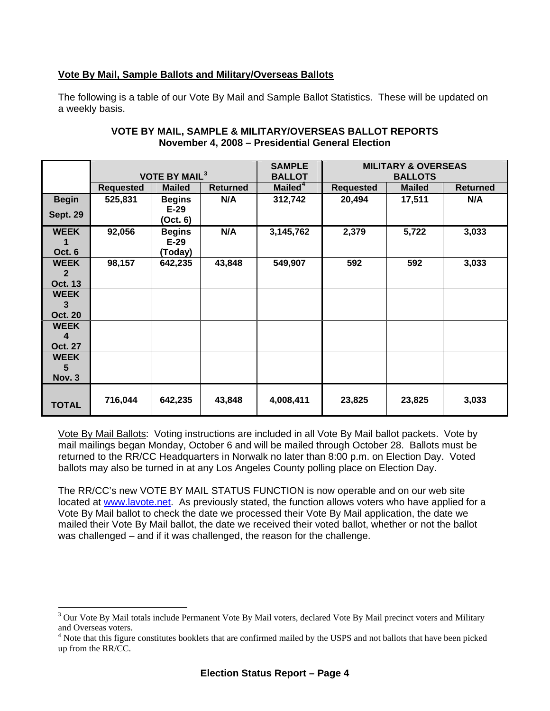#### **Vote By Mail, Sample Ballots and Military/Overseas Ballots**

The following is a table of our Vote By Mail and Sample Ballot Statistics. These will be updated on a weekly basis.

|                                                 | <b>VOTE BY MAIL<sup>3</sup></b> |                                     | <b>SAMPLE</b><br><b>BALLOT</b> | <b>MILITARY &amp; OVERSEAS</b><br><b>BALLOTS</b> |                  |               |                 |
|-------------------------------------------------|---------------------------------|-------------------------------------|--------------------------------|--------------------------------------------------|------------------|---------------|-----------------|
|                                                 | <b>Requested</b>                | <b>Mailed</b>                       | <b>Returned</b>                | Mailed <sup>4</sup>                              | <b>Requested</b> | <b>Mailed</b> | <b>Returned</b> |
| <b>Begin</b><br><b>Sept. 29</b>                 | 525,831                         | <b>Begins</b><br>$E-29$<br>(Oct. 6) | N/A                            | 312,742                                          | 20,494           | 17,511        | N/A             |
| <b>WEEK</b><br>1<br>Oct. 6                      | 92,056                          | <b>Begins</b><br>$E-29$<br>(Today)  | N/A                            | 3,145,762                                        | 2,379            | 5,722         | 3,033           |
| <b>WEEK</b><br>$\overline{2}$<br><b>Oct. 13</b> | 98,157                          | 642,235                             | 43,848                         | 549,907                                          | 592              | 592           | 3,033           |
| <b>WEEK</b><br>3<br><b>Oct. 20</b>              |                                 |                                     |                                |                                                  |                  |               |                 |
| <b>WEEK</b><br>4<br><b>Oct. 27</b>              |                                 |                                     |                                |                                                  |                  |               |                 |
| <b>WEEK</b><br>5<br><b>Nov. 3</b>               |                                 |                                     |                                |                                                  |                  |               |                 |
| <b>TOTAL</b>                                    | 716,044                         | 642,235                             | 43,848                         | 4,008,411                                        | 23,825           | 23,825        | 3,033           |

#### **VOTE BY MAIL, SAMPLE & MILITARY/OVERSEAS BALLOT REPORTS November 4, 2008 – Presidential General Election**

Vote By Mail Ballots: Voting instructions are included in all Vote By Mail ballot packets. Vote by mail mailings began Monday, October 6 and will be mailed through October 28. Ballots must be returned to the RR/CC Headquarters in Norwalk no later than 8:00 p.m. on Election Day. Voted ballots may also be turned in at any Los Angeles County polling place on Election Day.

The RR/CC's new VOTE BY MAIL STATUS FUNCTION is now operable and on our web site located at [www.lavote.net](http://www.lavote.net/). As previously stated, the function allows voters who have applied for a Vote By Mail ballot to check the date we processed their Vote By Mail application, the date we mailed their Vote By Mail ballot, the date we received their voted ballot, whether or not the ballot was challenged – and if it was challenged, the reason for the challenge.

 $\overline{a}$ 

<span id="page-3-0"></span><sup>&</sup>lt;sup>3</sup> Our Vote By Mail totals include Permanent Vote By Mail voters, declared Vote By Mail precinct voters and Military and Overseas voters.

<span id="page-3-1"></span><sup>&</sup>lt;sup>4</sup> Note that this figure constitutes booklets that are confirmed mailed by the USPS and not ballots that have been picked up from the RR/CC.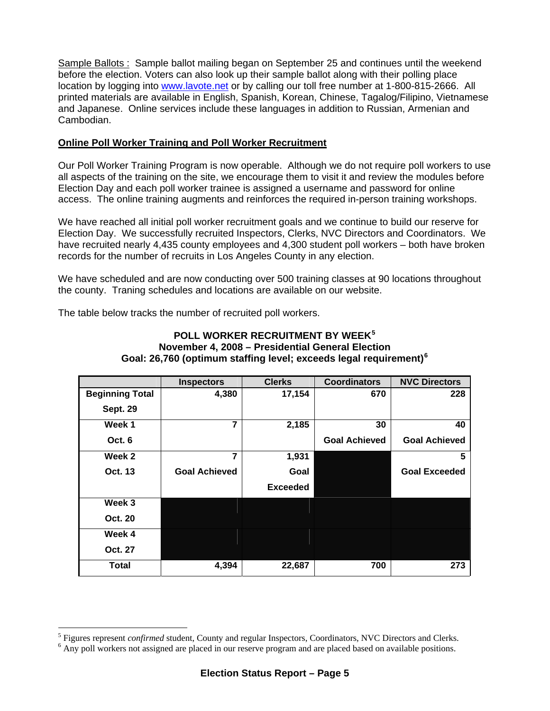Sample Ballots : Sample ballot mailing began on September 25 and continues until the weekend before the election. Voters can also look up their sample ballot along with their polling place location by logging into [www.lavote.net](http://www.lavote.net/) or by calling our toll free number at 1-800-815-2666. All printed materials are available in English, Spanish, Korean, Chinese, Tagalog/Filipino, Vietnamese and Japanese. Online services include these languages in addition to Russian, Armenian and Cambodian.

## **Online Poll Worker Training and Poll Worker Recruitment**

Our Poll Worker Training Program is now operable. Although we do not require poll workers to use all aspects of the training on the site, we encourage them to visit it and review the modules before Election Day and each poll worker trainee is assigned a username and password for online access. The online training augments and reinforces the required in-person training workshops.

We have reached all initial poll worker recruitment goals and we continue to build our reserve for Election Day. We successfully recruited Inspectors, Clerks, NVC Directors and Coordinators. We have recruited nearly 4,435 county employees and 4,300 student poll workers – both have broken records for the number of recruits in Los Angeles County in any election.

We have scheduled and are now conducting over 500 training classes at 90 locations throughout the county. Traning schedules and locations are available on our website.

The table below tracks the number of recruited poll workers.

 $\overline{a}$ 

|                        | <b>Inspectors</b>    | <b>Clerks</b>   | <b>Coordinators</b>  | <b>NVC Directors</b> |
|------------------------|----------------------|-----------------|----------------------|----------------------|
| <b>Beginning Total</b> | 4,380                | 17,154          | 670                  | 228                  |
| <b>Sept. 29</b>        |                      |                 |                      |                      |
| Week 1                 | $\overline{7}$       | 2,185           | 30                   | 40                   |
| Oct. 6                 |                      |                 | <b>Goal Achieved</b> | <b>Goal Achieved</b> |
| Week 2                 | 7                    | 1,931           |                      | 5                    |
| Oct. 13                | <b>Goal Achieved</b> | Goal            |                      | <b>Goal Exceeded</b> |
|                        |                      | <b>Exceeded</b> |                      |                      |
| Week 3                 |                      |                 |                      |                      |
| <b>Oct. 20</b>         |                      |                 |                      |                      |
| Week 4                 |                      |                 |                      |                      |
| Oct. 27                |                      |                 |                      |                      |
| <b>Total</b>           | 4,394                | 22,687          | 700                  | 273                  |

#### **POLL WORKER RECRUITMENT BY WEEK[5](#page-4-0) November 4, 2008 – Presidential General Election Goal: 26,760 (optimum staffing level; exceeds legal requirement)[6](#page-4-1)**

<span id="page-4-0"></span> $^5$  Figures represent *confirmed* student, County and regular Inspectors, Coordinators, NVC Directors and Clerks.

<span id="page-4-1"></span> $6$  Any poll workers not assigned are placed in our reserve program and are placed based on available positions.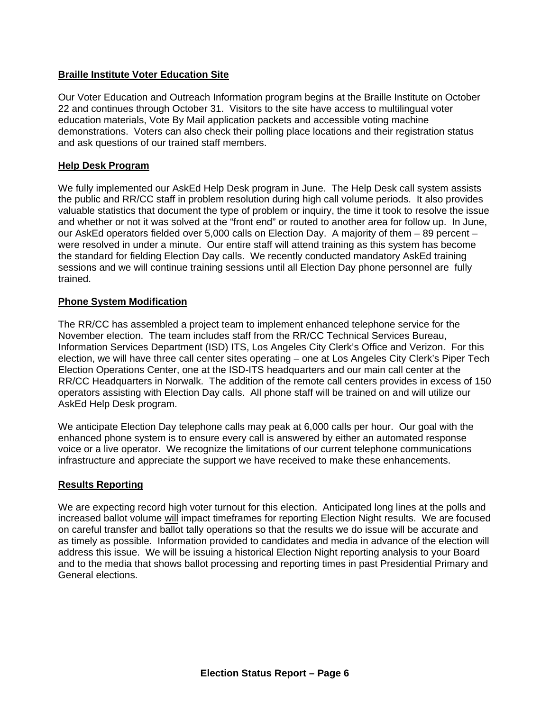#### **Braille Institute Voter Education Site**

Our Voter Education and Outreach Information program begins at the Braille Institute on October 22 and continues through October 31. Visitors to the site have access to multilingual voter education materials, Vote By Mail application packets and accessible voting machine demonstrations. Voters can also check their polling place locations and their registration status and ask questions of our trained staff members.

#### **Help Desk Program**

We fully implemented our AskEd Help Desk program in June. The Help Desk call system assists the public and RR/CC staff in problem resolution during high call volume periods. It also provides valuable statistics that document the type of problem or inquiry, the time it took to resolve the issue and whether or not it was solved at the "front end" or routed to another area for follow up. In June, our AskEd operators fielded over 5,000 calls on Election Day. A majority of them – 89 percent – were resolved in under a minute. Our entire staff will attend training as this system has become the standard for fielding Election Day calls. We recently conducted mandatory AskEd training sessions and we will continue training sessions until all Election Day phone personnel are fully trained.

#### **Phone System Modification**

The RR/CC has assembled a project team to implement enhanced telephone service for the November election. The team includes staff from the RR/CC Technical Services Bureau, Information Services Department (ISD) ITS, Los Angeles City Clerk's Office and Verizon. For this election, we will have three call center sites operating – one at Los Angeles City Clerk's Piper Tech Election Operations Center, one at the ISD-ITS headquarters and our main call center at the RR/CC Headquarters in Norwalk. The addition of the remote call centers provides in excess of 150 operators assisting with Election Day calls. All phone staff will be trained on and will utilize our AskEd Help Desk program.

We anticipate Election Day telephone calls may peak at 6,000 calls per hour. Our goal with the enhanced phone system is to ensure every call is answered by either an automated response voice or a live operator. We recognize the limitations of our current telephone communications infrastructure and appreciate the support we have received to make these enhancements.

#### **Results Reporting**

We are expecting record high voter turnout for this election. Anticipated long lines at the polls and increased ballot volume will impact timeframes for reporting Election Night results. We are focused on careful transfer and ballot tally operations so that the results we do issue will be accurate and as timely as possible. Information provided to candidates and media in advance of the election will address this issue. We will be issuing a historical Election Night reporting analysis to your Board and to the media that shows ballot processing and reporting times in past Presidential Primary and General elections.